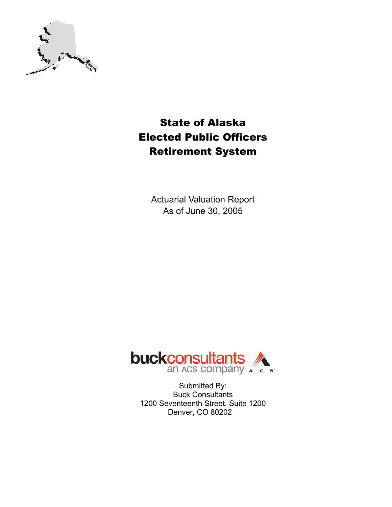

# State of Alaska Elected Public Officers Retirement System

Actuarial Valuation Report As of June 30, 2005



Submitted By: Buck Consultants 1200 Seventeenth Street, Suite 1200 Denver, CO 80202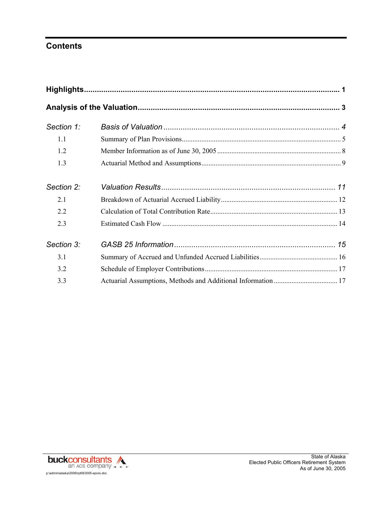# **Contents**

| Section 1: |  |
|------------|--|
| 1.1        |  |
| 1.2        |  |
| 1.3        |  |
| Section 2: |  |
| 2.1        |  |
| 2.2        |  |
| 2.3        |  |
| Section 3: |  |
| 3.1        |  |
| 3.2        |  |
| 3.3        |  |
|            |  |

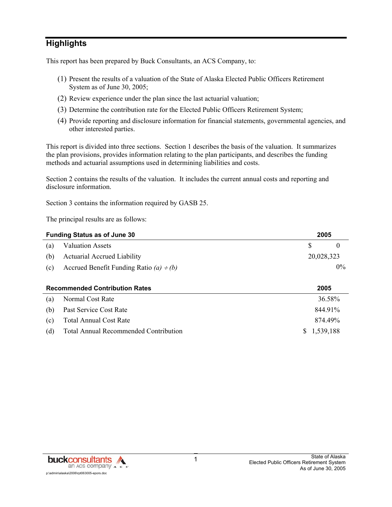# **Highlights**

This report has been prepared by Buck Consultants, an ACS Company, to:

- (1) Present the results of a valuation of the State of Alaska Elected Public Officers Retirement System as of June 30, 2005;
- (2) Review experience under the plan since the last actuarial valuation;
- (3) Determine the contribution rate for the Elected Public Officers Retirement System;
- (4) Provide reporting and disclosure information for financial statements, governmental agencies, and other interested parties.

This report is divided into three sections. Section 1 describes the basis of the valuation. It summarizes the plan provisions, provides information relating to the plan participants, and describes the funding methods and actuarial assumptions used in determining liabilities and costs.

Section 2 contains the results of the valuation. It includes the current annual costs and reporting and disclosure information.

Section 3 contains the information required by GASB 25.

The principal results are as follows:

|     | <b>Funding Status as of June 30</b>          | 2005                |
|-----|----------------------------------------------|---------------------|
| (a) | <b>Valuation Assets</b>                      | S<br>$\overline{0}$ |
| (b) | <b>Actuarial Accrued Liability</b>           | 20,028,323          |
| (c) | Accrued Benefit Funding Ratio (a) $\div$ (b) | $0\%$               |
|     |                                              |                     |
|     | <b>Recommended Contribution Rates</b>        |                     |
|     |                                              | 2005                |
| (a) | Normal Cost Rate                             | 36.58%              |
| (b) | Past Service Cost Rate                       | 844.91%             |
| (c) | <b>Total Annual Cost Rate</b>                | 874.49%             |

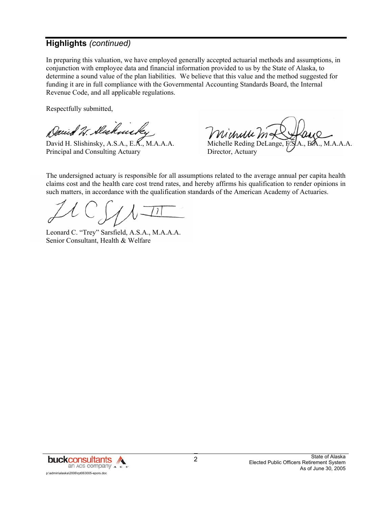# **Highlights** *(continued)*

In preparing this valuation, we have employed generally accepted actuarial methods and assumptions, in conjunction with employee data and financial information provided to us by the State of Alaska, to determine a sound value of the plan liabilities. We believe that this value and the method suggested for funding it are in full compliance with the Governmental Accounting Standards Board, the Internal Revenue Code, and all applicable regulations.

Respectfully submitted,

Darid W. Dickmirky

David H. Slishinsky, A.S.A., E.K., M.A.A.A. Michelle Reding DeLange, F.S.A., E.A., M.A.A.A. Principal and Consulting Actuary Director, Actuary

Michelle

The undersigned actuary is responsible for all assumptions related to the average annual per capita health claims cost and the health care cost trend rates, and hereby affirms his qualification to render opinions in such matters, in accordance with the qualification standards of the American Academy of Actuaries.

Leonard C. "Trey" Sarsfield, A.S.A., M.A.A.A. Senior Consultant, Health & Welfare

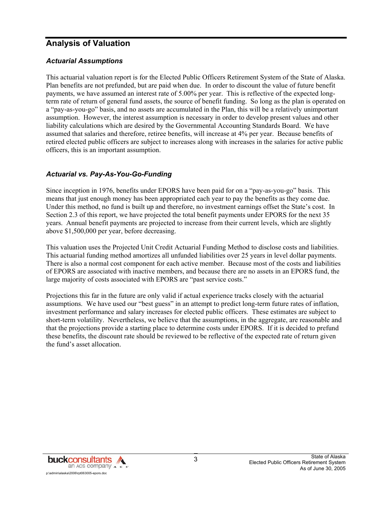# **Analysis of Valuation**

#### *Actuarial Assumptions*

This actuarial valuation report is for the Elected Public Officers Retirement System of the State of Alaska. Plan benefits are not prefunded, but are paid when due. In order to discount the value of future benefit payments, we have assumed an interest rate of 5.00% per year. This is reflective of the expected longterm rate of return of general fund assets, the source of benefit funding. So long as the plan is operated on a "pay-as-you-go" basis, and no assets are accumulated in the Plan, this will be a relatively unimportant assumption. However, the interest assumption is necessary in order to develop present values and other liability calculations which are desired by the Governmental Accounting Standards Board. We have assumed that salaries and therefore, retiree benefits, will increase at 4% per year. Because benefits of retired elected public officers are subject to increases along with increases in the salaries for active public officers, this is an important assumption.

#### *Actuarial vs. Pay-As-You-Go-Funding*

Since inception in 1976, benefits under EPORS have been paid for on a "pay-as-you-go" basis. This means that just enough money has been appropriated each year to pay the benefits as they come due. Under this method, no fund is built up and therefore, no investment earnings offset the State's cost. In Section 2.3 of this report, we have projected the total benefit payments under EPORS for the next 35 years. Annual benefit payments are projected to increase from their current levels, which are slightly above \$1,500,000 per year, before decreasing.

This valuation uses the Projected Unit Credit Actuarial Funding Method to disclose costs and liabilities. This actuarial funding method amortizes all unfunded liabilities over 25 years in level dollar payments. There is also a normal cost component for each active member. Because most of the costs and liabilities of EPORS are associated with inactive members, and because there are no assets in an EPORS fund, the large majority of costs associated with EPORS are "past service costs."

Projections this far in the future are only valid if actual experience tracks closely with the actuarial assumptions. We have used our "best guess" in an attempt to predict long-term future rates of inflation, investment performance and salary increases for elected public officers. These estimates are subject to short-term volatility. Nevertheless, we believe that the assumptions, in the aggregate, are reasonable and that the projections provide a starting place to determine costs under EPORS. If it is decided to prefund these benefits, the discount rate should be reviewed to be reflective of the expected rate of return given the fund's asset allocation.

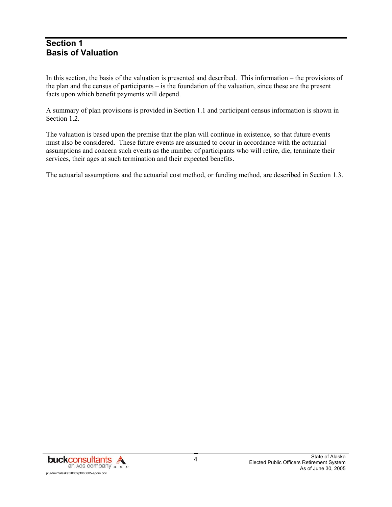### **Section 1 Basis of Valuation**

In this section, the basis of the valuation is presented and described. This information – the provisions of the plan and the census of participants – is the foundation of the valuation, since these are the present facts upon which benefit payments will depend.

A summary of plan provisions is provided in Section 1.1 and participant census information is shown in Section 1.2.

The valuation is based upon the premise that the plan will continue in existence, so that future events must also be considered. These future events are assumed to occur in accordance with the actuarial assumptions and concern such events as the number of participants who will retire, die, terminate their services, their ages at such termination and their expected benefits.

The actuarial assumptions and the actuarial cost method, or funding method, are described in Section 1.3.

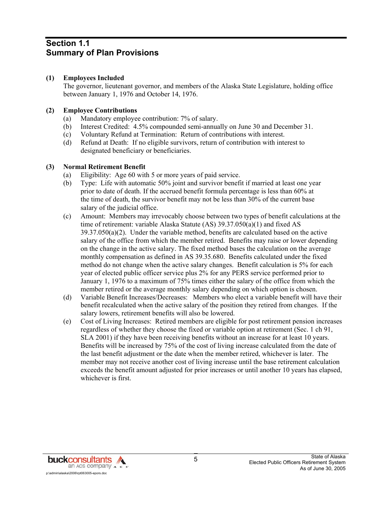### **Section 1.1 Summary of Plan Provisions**

#### **(1) Employees Included**

 The governor, lieutenant governor, and members of the Alaska State Legislature, holding office between January 1, 1976 and October 14, 1976.

#### **(2) Employee Contributions**

- (a) Mandatory employee contribution: 7% of salary.
- (b) Interest Credited: 4.5% compounded semi-annually on June 30 and December 31.
- (c) Voluntary Refund at Termination: Return of contributions with interest.
- (d) Refund at Death: If no eligible survivors, return of contribution with interest to designated beneficiary or beneficiaries.

#### **(3) Normal Retirement Benefit**

- (a) Eligibility: Age 60 with 5 or more years of paid service.
- (b) Type: Life with automatic 50% joint and survivor benefit if married at least one year prior to date of death. If the accrued benefit formula percentage is less than 60% at the time of death, the survivor benefit may not be less than 30% of the current base salary of the judicial office.
- (c) Amount: Members may irrevocably choose between two types of benefit calculations at the time of retirement: variable Alaska Statute (AS) 39.37.050(a)(1) and fixed AS 39.37.050(a)(2). Under the variable method, benefits are calculated based on the active salary of the office from which the member retired. Benefits may raise or lower depending on the change in the active salary. The fixed method bases the calculation on the average monthly compensation as defined in AS 39.35.680. Benefits calculated under the fixed method do not change when the active salary changes. Benefit calculation is 5% for each year of elected public officer service plus 2% for any PERS service performed prior to January 1, 1976 to a maximum of 75% times either the salary of the office from which the member retired or the average monthly salary depending on which option is chosen.
- (d) Variable Benefit Increases/Decreases: Members who elect a variable benefit will have their benefit recalculated when the active salary of the position they retired from changes. If the salary lowers, retirement benefits will also be lowered.
- (e) Cost of Living Increases: Retired members are eligible for post retirement pension increases regardless of whether they choose the fixed or variable option at retirement (Sec. 1 ch 91, SLA 2001) if they have been receiving benefits without an increase for at least 10 years. Benefits will be increased by 75% of the cost of living increase calculated from the date of the last benefit adjustment or the date when the member retired, whichever is later. The member may not receive another cost of living increase until the base retirement calculation exceeds the benefit amount adjusted for prior increases or until another 10 years has elapsed, whichever is first.

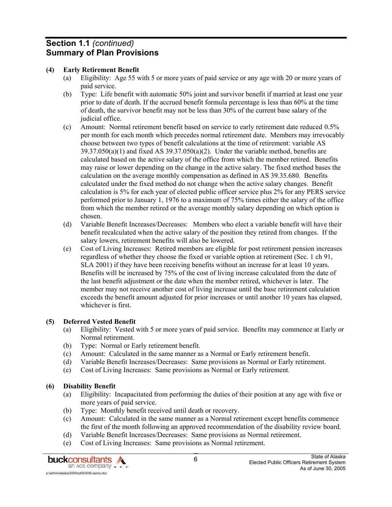## **Section 1.1** *(continued)* **Summary of Plan Provisions**

#### **(4) Early Retirement Benefit**

- (a) Eligibility: Age 55 with 5 or more years of paid service or any age with 20 or more years of paid service.
- (b) Type: Life benefit with automatic 50% joint and survivor benefit if married at least one year prior to date of death. If the accrued benefit formula percentage is less than 60% at the time of death, the survivor benefit may not be less than 30% of the current base salary of the judicial office.
- (c) Amount: Normal retirement benefit based on service to early retirement date reduced 0.5% per month for each month which precedes normal retirement date. Members may irrevocably choose between two types of benefit calculations at the time of retirement: variable AS  $39.37.050(a)(1)$  and fixed AS  $39.37.050(a)(2)$ . Under the variable method, benefits are calculated based on the active salary of the office from which the member retired. Benefits may raise or lower depending on the change in the active salary. The fixed method bases the calculation on the average monthly compensation as defined in AS 39.35.680. Benefits calculated under the fixed method do not change when the active salary changes. Benefit calculation is 5% for each year of elected public officer service plus 2% for any PERS service performed prior to January 1, 1976 to a maximum of 75% times either the salary of the office from which the member retired or the average monthly salary depending on which option is chosen.
- (d) Variable Benefit Increases/Decreases: Members who elect a variable benefit will have their benefit recalculated when the active salary of the position they retired from changes. If the salary lowers, retirement benefits will also be lowered.
- (e) Cost of Living Increases: Retired members are eligible for post retirement pension increases regardless of whether they choose the fixed or variable option at retirement (Sec. 1 ch 91, SLA 2001) if they have been receiving benefits without an increase for at least 10 years. Benefits will be increased by 75% of the cost of living increase calculated from the date of the last benefit adjustment or the date when the member retired, whichever is later. The member may not receive another cost of living increase until the base retirement calculation exceeds the benefit amount adjusted for prior increases or until another 10 years has elapsed, whichever is first.

#### **(5) Deferred Vested Benefit**

- (a) Eligibility: Vested with 5 or more years of paid service. Benefits may commence at Early or Normal retirement.
- (b) Type: Normal or Early retirement benefit.
- (c) Amount: Calculated in the same manner as a Normal or Early retirement benefit.
- (d) Variable Benefit Increases/Decreases: Same provisions as Normal or Early retirement.
- (e) Cost of Living Increases: Same provisions as Normal or Early retirement.

#### **(6) Disability Benefit**

- (a) Eligibility: Incapacitated from performing the duties of their position at any age with five or more years of paid service.
- (b) Type: Monthly benefit received until death or recovery.
- (c) Amount: Calculated in the same manner as a Normal retirement except benefits commence the first of the month following an approved recommendation of the disability review board.
- (d) Variable Benefit Increases/Decreases: Same provisions as Normal retirement.
- (e) Cost of Living Increases: Same provisions as Normal retirement.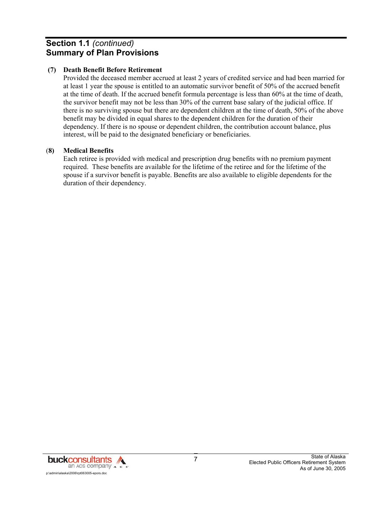# **Section 1.1** *(continued)* **Summary of Plan Provisions**

#### **(7) Death Benefit Before Retirement**

 Provided the deceased member accrued at least 2 years of credited service and had been married for at least 1 year the spouse is entitled to an automatic survivor benefit of 50% of the accrued benefit at the time of death. If the accrued benefit formula percentage is less than 60% at the time of death, the survivor benefit may not be less than 30% of the current base salary of the judicial office. If there is no surviving spouse but there are dependent children at the time of death, 50% of the above benefit may be divided in equal shares to the dependent children for the duration of their dependency. If there is no spouse or dependent children, the contribution account balance, plus interest, will be paid to the designated beneficiary or beneficiaries.

#### (**8) Medical Benefits**

 Each retiree is provided with medical and prescription drug benefits with no premium payment required. These benefits are available for the lifetime of the retiree and for the lifetime of the spouse if a survivor benefit is payable. Benefits are also available to eligible dependents for the duration of their dependency.

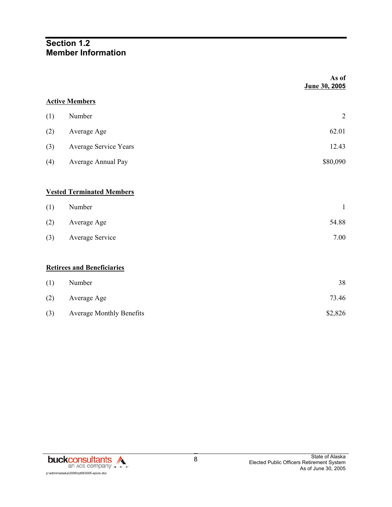## **Section 1.2 Member Information**

|     |                                   | As of<br>June 30, 2005 |
|-----|-----------------------------------|------------------------|
|     | <b>Active Members</b>             |                        |
| (1) | Number                            | $\overline{2}$         |
| (2) | Average Age                       | 62.01                  |
| (3) | Average Service Years             | 12.43                  |
| (4) | Average Annual Pay                | \$80,090               |
|     |                                   |                        |
|     | <b>Vested Terminated Members</b>  |                        |
| (1) | Number                            | $\mathbf{1}$           |
| (2) | Average Age                       | 54.88                  |
| (3) | Average Service                   | 7.00                   |
|     |                                   |                        |
|     | <b>Retirees and Beneficiaries</b> |                        |
| (1) | Number                            | 38                     |
| (2) | Average Age                       | 73.46                  |
| (3) | <b>Average Monthly Benefits</b>   | \$2,826                |

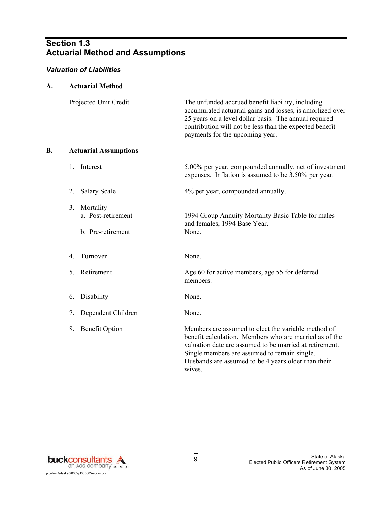# **Section 1.3 Actuarial Method and Assumptions**

#### *Valuation of Liabilities*

| A. | <b>Actuarial Method</b>                                    |                                                                                                                                                                                                                                                                                           |
|----|------------------------------------------------------------|-------------------------------------------------------------------------------------------------------------------------------------------------------------------------------------------------------------------------------------------------------------------------------------------|
|    | Projected Unit Credit                                      | The unfunded accrued benefit liability, including<br>accumulated actuarial gains and losses, is amortized over<br>25 years on a level dollar basis. The annual required<br>contribution will not be less than the expected benefit<br>payments for the upcoming year.                     |
| B. | <b>Actuarial Assumptions</b>                               |                                                                                                                                                                                                                                                                                           |
|    | Interest<br>1.                                             | 5.00% per year, compounded annually, net of investment<br>expenses. Inflation is assumed to be 3.50% per year.                                                                                                                                                                            |
|    | 2.<br><b>Salary Scale</b>                                  | 4% per year, compounded annually.                                                                                                                                                                                                                                                         |
|    | Mortality<br>3.<br>a. Post-retirement<br>b. Pre-retirement | 1994 Group Annuity Mortality Basic Table for males<br>and females, 1994 Base Year.<br>None.                                                                                                                                                                                               |
|    | Turnover<br>4.                                             | None.                                                                                                                                                                                                                                                                                     |
|    | 5.<br>Retirement                                           | Age 60 for active members, age 55 for deferred<br>members.                                                                                                                                                                                                                                |
|    | Disability<br>6.                                           | None.                                                                                                                                                                                                                                                                                     |
|    | Dependent Children<br>7.                                   | None.                                                                                                                                                                                                                                                                                     |
|    | 8.<br><b>Benefit Option</b>                                | Members are assumed to elect the variable method of<br>benefit calculation. Members who are married as of the<br>valuation date are assumed to be married at retirement.<br>Single members are assumed to remain single.<br>Husbands are assumed to be 4 years older than their<br>wives. |

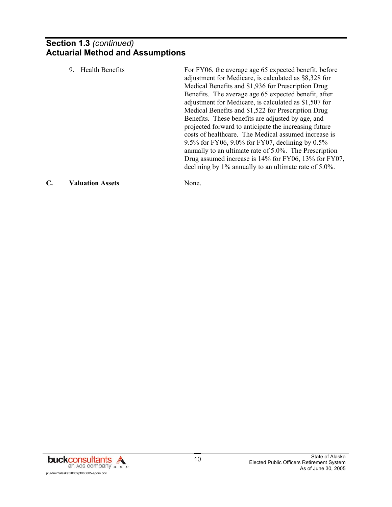# **Section 1.3** *(continued)* **Actuarial Method and Assumptions**

| 9. | Health Benefits | For FY06, the average age 65 expected benefit, before<br>adjustment for Medicare, is calculated as \$8,328 for<br>Medical Benefits and \$1,936 for Prescription Drug<br>Benefits. The average age 65 expected benefit, after<br>adjustment for Medicare, is calculated as \$1,507 for<br>Medical Benefits and \$1,522 for Prescription Drug<br>Benefits. These benefits are adjusted by age, and<br>projected forward to anticipate the increasing future<br>costs of healthcare. The Medical assumed increase is<br>9.5% for FY06, 9.0% for FY07, declining by $0.5\%$<br>annually to an ultimate rate of 5.0%. The Prescription<br>Drug assumed increase is 14% for FY06, 13% for FY07,<br>declining by 1% annually to an ultimate rate of 5.0%. |
|----|-----------------|----------------------------------------------------------------------------------------------------------------------------------------------------------------------------------------------------------------------------------------------------------------------------------------------------------------------------------------------------------------------------------------------------------------------------------------------------------------------------------------------------------------------------------------------------------------------------------------------------------------------------------------------------------------------------------------------------------------------------------------------------|
|    |                 |                                                                                                                                                                                                                                                                                                                                                                                                                                                                                                                                                                                                                                                                                                                                                    |

#### **C. Valuation Assets** None.

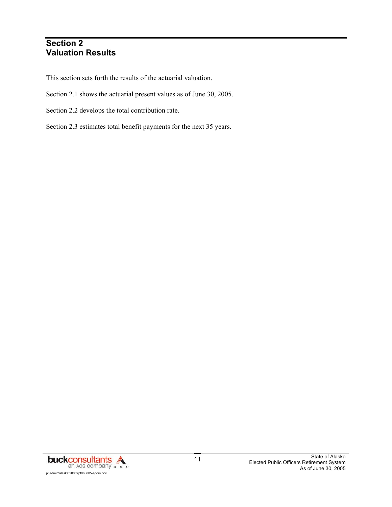# **Section 2 Valuation Results**

This section sets forth the results of the actuarial valuation.

- Section 2.1 shows the actuarial present values as of June 30, 2005.
- Section 2.2 develops the total contribution rate.
- Section 2.3 estimates total benefit payments for the next 35 years.

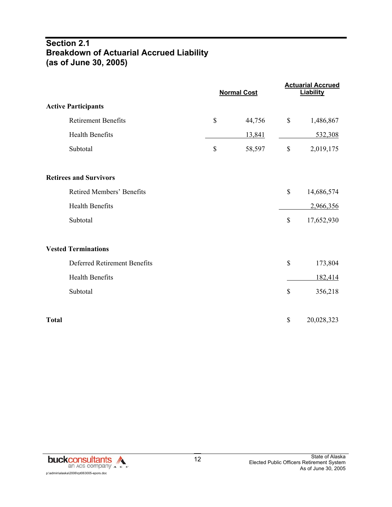# **Section 2.1 Breakdown of Actuarial Accrued Liability (as of June 30, 2005)**

|                               |              | <b>Normal Cost</b> |                           | <b>Actuarial Accrued</b><br><b>Liability</b> |
|-------------------------------|--------------|--------------------|---------------------------|----------------------------------------------|
| <b>Active Participants</b>    |              |                    |                           |                                              |
| <b>Retirement Benefits</b>    | $\mathbb{S}$ | 44,756             | $\boldsymbol{\mathsf{S}}$ | 1,486,867                                    |
| <b>Health Benefits</b>        |              | 13,841             |                           | 532,308                                      |
| Subtotal                      | \$           | 58,597             | $\mathbb S$               | 2,019,175                                    |
| <b>Retirees and Survivors</b> |              |                    |                           |                                              |
| Retired Members' Benefits     |              |                    | $\mathbb{S}$              | 14,686,574                                   |
| <b>Health Benefits</b>        |              |                    |                           | 2,966,356                                    |
| Subtotal                      |              |                    | $\mathbb{S}$              | 17,652,930                                   |
| <b>Vested Terminations</b>    |              |                    |                           |                                              |
| Deferred Retirement Benefits  |              |                    | \$                        | 173,804                                      |
| <b>Health Benefits</b>        |              |                    |                           | 182,414                                      |
| Subtotal                      |              |                    | $\mathcal{S}$             | 356,218                                      |
| <b>Total</b>                  |              |                    | \$                        | 20,028,323                                   |

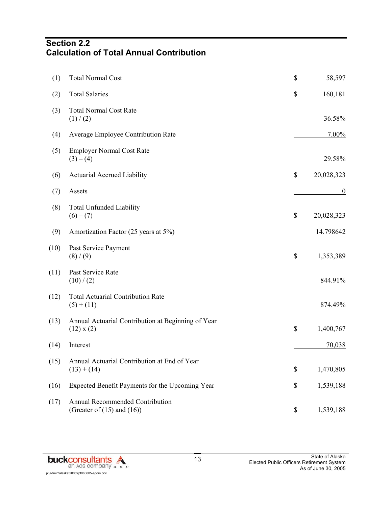# **Section 2.2 Calculation of Total Annual Contribution**

| (1)  | <b>Total Normal Cost</b>                                             | \$<br>58,597     |
|------|----------------------------------------------------------------------|------------------|
| (2)  | <b>Total Salaries</b>                                                | \$<br>160,181    |
| (3)  | <b>Total Normal Cost Rate</b><br>(1) / (2)                           | 36.58%           |
| (4)  | Average Employee Contribution Rate                                   | 7.00%            |
| (5)  | <b>Employer Normal Cost Rate</b><br>$(3)-(4)$                        | 29.58%           |
| (6)  | <b>Actuarial Accrued Liability</b>                                   | \$<br>20,028,323 |
| (7)  | Assets                                                               | $\overline{0}$   |
| (8)  | <b>Total Unfunded Liability</b><br>$(6)-(7)$                         | \$<br>20,028,323 |
| (9)  | Amortization Factor (25 years at 5%)                                 | 14.798642        |
| (10) | Past Service Payment<br>(8) / (9)                                    | \$<br>1,353,389  |
| (11) | Past Service Rate<br>(10)/(2)                                        | 844.91%          |
| (12) | <b>Total Actuarial Contribution Rate</b><br>$(5) + (11)$             | 874.49%          |
| (13) | Annual Actuarial Contribution at Beginning of Year<br>$(12)$ x $(2)$ | \$<br>1,400,767  |
| (14) | Interest                                                             | 70,038           |
| (15) | Annual Actuarial Contribution at End of Year<br>$(13) + (14)$        | \$<br>1,470,805  |
| (16) | Expected Benefit Payments for the Upcoming Year                      | \$<br>1,539,188  |
| (17) | Annual Recommended Contribution<br>(Greater of $(15)$ and $(16)$ )   | \$<br>1,539,188  |

**buckconsultants** p:\admin\alaska\2006\rpt063005-epors.doc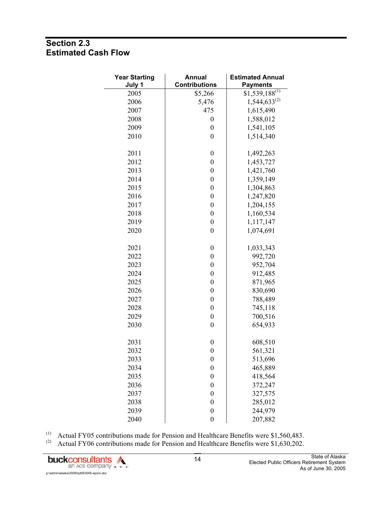# **Section 2.3 Estimated Cash Flow**

| <b>Year Starting</b><br>July 1 | <b>Annual</b><br><b>Contributions</b> | <b>Estimated Annual</b><br><b>Payments</b> |
|--------------------------------|---------------------------------------|--------------------------------------------|
| 2005                           | \$5,266                               | $$1,539,188^{(1)}$                         |
| 2006                           | 5,476                                 | $1,544,633^{(2)}$                          |
| 2007                           | 475                                   | 1,615,490                                  |
| 2008                           | $\boldsymbol{0}$                      | 1,588,012                                  |
| 2009                           | $\boldsymbol{0}$                      | 1,541,105                                  |
| 2010                           | $\overline{0}$                        | 1,514,340                                  |
| 2011                           | $\boldsymbol{0}$                      | 1,492,263                                  |
| 2012                           | $\boldsymbol{0}$                      | 1,453,727                                  |
| 2013                           | $\boldsymbol{0}$                      | 1,421,760                                  |
| 2014                           | $\boldsymbol{0}$                      | 1,359,149                                  |
| 2015                           | $\boldsymbol{0}$                      | 1,304,863                                  |
| 2016                           | $\boldsymbol{0}$                      | 1,247,820                                  |
| 2017                           | $\boldsymbol{0}$                      | 1,204,155                                  |
| 2018                           | $\boldsymbol{0}$                      | 1,160,534                                  |
| 2019                           | $\boldsymbol{0}$                      | 1,117,147                                  |
| 2020                           | $\boldsymbol{0}$                      | 1,074,691                                  |
| 2021                           | $\boldsymbol{0}$                      | 1,033,343                                  |
| 2022                           | $\boldsymbol{0}$                      | 992,720                                    |
| 2023                           | $\boldsymbol{0}$                      | 952,704                                    |
| 2024                           | $\boldsymbol{0}$                      | 912,485                                    |
| 2025                           | $\boldsymbol{0}$                      | 871,965                                    |
| 2026                           | $\boldsymbol{0}$                      | 830,690                                    |
| 2027                           | $\boldsymbol{0}$                      | 788,489                                    |
| 2028                           | $\boldsymbol{0}$                      | 745,118                                    |
| 2029                           | $\boldsymbol{0}$                      | 700,516                                    |
| 2030                           | $\boldsymbol{0}$                      | 654,933                                    |
| 2031                           | $\boldsymbol{0}$                      | 608,510                                    |
| 2032                           | $\boldsymbol{0}$                      | 561,321                                    |
| 2033                           | $\boldsymbol{0}$                      | 513,696                                    |
| 2034                           | $\boldsymbol{0}$                      | 465,889                                    |
| 2035                           | $\boldsymbol{0}$                      | 418,564                                    |
| 2036                           | $\boldsymbol{0}$                      | 372,247                                    |
| 2037                           | $\boldsymbol{0}$                      | 327,575                                    |
| 2038                           | $\boldsymbol{0}$                      | 285,012                                    |
| 2039                           | $\boldsymbol{0}$                      | 244,979                                    |
| 2040                           | $\boldsymbol{0}$                      | 207,882                                    |

(1) Actual FY05 contributions made for Pension and Healthcare Benefits were  $$1,560,483$ .

<sup>(2)</sup> Actual FY06 contributions made for Pension and Healthcare Benefits were \$1,630,202.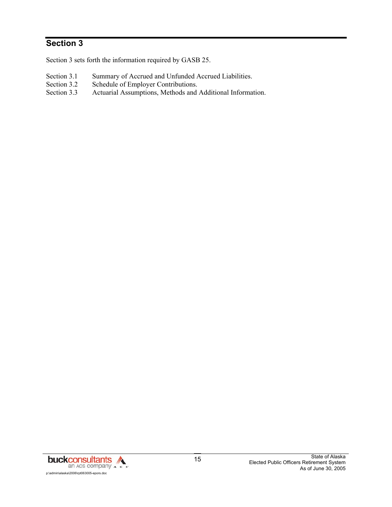# **Section 3**

Section 3 sets forth the information required by GASB 25.

- Section 3.1 Summary of Accrued and Unfunded Accrued Liabilities.<br>Section 3.2 Schedule of Employer Contributions.
- Schedule of Employer Contributions.
- Section 3.3 Actuarial Assumptions, Methods and Additional Information.

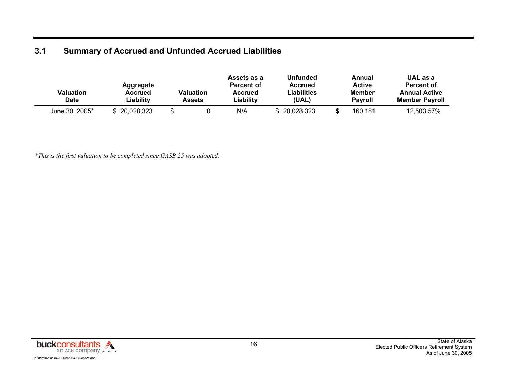# **3.1 Summary of Accrued and Unfunded Accrued Liabilities**

| Valuation<br><b>Date</b> | Aggregate<br>Accrued<br>∟iability | <b>Valuation</b><br>Assets | Assets as a<br>Percent of<br>Accrued<br>Liabilitv | <b>Unfunded</b><br><b>Accrued</b><br>Liabilities<br>(UAL) | Annual<br><b>Active</b><br>Member<br><b>Pavroll</b> | UAL as a<br>Percent of<br><b>Annual Active</b><br><b>Member Pavroll</b> |
|--------------------------|-----------------------------------|----------------------------|---------------------------------------------------|-----------------------------------------------------------|-----------------------------------------------------|-------------------------------------------------------------------------|
| June 30, 2005*           | \$ 20,028,323                     |                            | N/A                                               | \$20,028,323                                              | 160.181                                             | 12,503.57%                                                              |

*\*This is the first valuation to be completed since GASB 25 was adopted.* 



State of Alaska Elected Public Officers Retirement System As of June 30, 2005